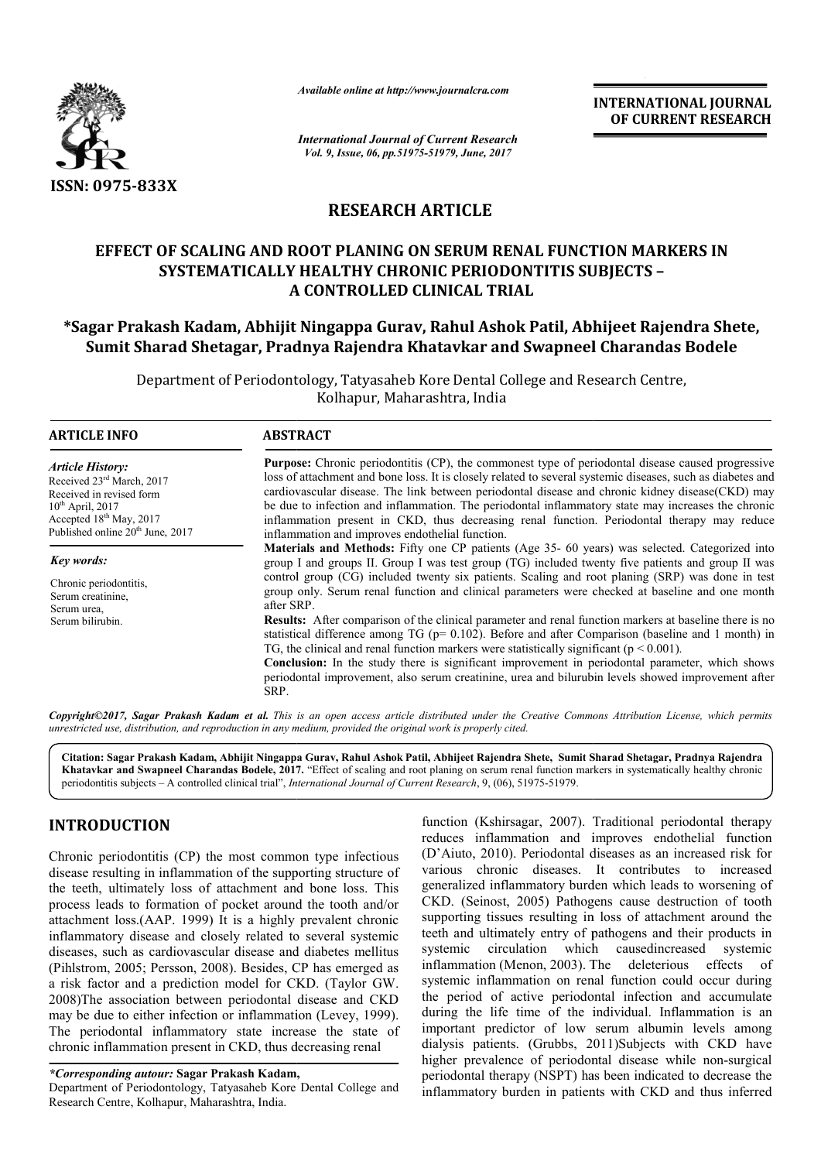

*Available online at http://www.journalcra.com*

# **RESEARCH ARTICLE**

## **EFFECT OF SCALING AND ROOT PLANING ON SERUM RENAL FUNCTION MARKERS IN SYSTEMATICALLY HEALTHY CHRONIC PERIODONTITIS SUBJECTS PERIODONTITIS SUBJECTS – A CONTROLLED CLINICAL TRIAL**

## **\*Sagar Prakash Kadam, Abhijit Ningappa Gurav, Rahul Ashok Patil, Abhijeet Rajendra Shete, Sagar Rajendra Shete, Sumit Sharad Shetagar, Pradnya Rajendra Khatavkar and Swapneel Charandas Bodele**

|                                                                                                                                                                                                                                                                                                                                                                                                                                                                                                                                                                                                                                                                                                                                                                                                                                                      |                                                                                                                                                                                                                                                                                                                                                                                                                                                                                                                                                                                                                                                                                                                                                                                                                                                                                                                                                                                                                                                                                                                                                                                                                                                                                                                                                                                                                                                                                                                                                  |  | <b>INTERNATIONAL JOURNAL</b><br>OF CURRENT RESEARCH                                                                                                                                                                                                                                                                                                                                                                                                                                                                                                                                                                                                                                                                                                                                                                                                                                           |
|------------------------------------------------------------------------------------------------------------------------------------------------------------------------------------------------------------------------------------------------------------------------------------------------------------------------------------------------------------------------------------------------------------------------------------------------------------------------------------------------------------------------------------------------------------------------------------------------------------------------------------------------------------------------------------------------------------------------------------------------------------------------------------------------------------------------------------------------------|--------------------------------------------------------------------------------------------------------------------------------------------------------------------------------------------------------------------------------------------------------------------------------------------------------------------------------------------------------------------------------------------------------------------------------------------------------------------------------------------------------------------------------------------------------------------------------------------------------------------------------------------------------------------------------------------------------------------------------------------------------------------------------------------------------------------------------------------------------------------------------------------------------------------------------------------------------------------------------------------------------------------------------------------------------------------------------------------------------------------------------------------------------------------------------------------------------------------------------------------------------------------------------------------------------------------------------------------------------------------------------------------------------------------------------------------------------------------------------------------------------------------------------------------------|--|-----------------------------------------------------------------------------------------------------------------------------------------------------------------------------------------------------------------------------------------------------------------------------------------------------------------------------------------------------------------------------------------------------------------------------------------------------------------------------------------------------------------------------------------------------------------------------------------------------------------------------------------------------------------------------------------------------------------------------------------------------------------------------------------------------------------------------------------------------------------------------------------------|
|                                                                                                                                                                                                                                                                                                                                                                                                                                                                                                                                                                                                                                                                                                                                                                                                                                                      | <b>International Journal of Current Research</b><br>Vol. 9, Issue, 06, pp.51975-51979, June, 2017                                                                                                                                                                                                                                                                                                                                                                                                                                                                                                                                                                                                                                                                                                                                                                                                                                                                                                                                                                                                                                                                                                                                                                                                                                                                                                                                                                                                                                                |  |                                                                                                                                                                                                                                                                                                                                                                                                                                                                                                                                                                                                                                                                                                                                                                                                                                                                                               |
| ISSN: 0975-833X                                                                                                                                                                                                                                                                                                                                                                                                                                                                                                                                                                                                                                                                                                                                                                                                                                      |                                                                                                                                                                                                                                                                                                                                                                                                                                                                                                                                                                                                                                                                                                                                                                                                                                                                                                                                                                                                                                                                                                                                                                                                                                                                                                                                                                                                                                                                                                                                                  |  |                                                                                                                                                                                                                                                                                                                                                                                                                                                                                                                                                                                                                                                                                                                                                                                                                                                                                               |
|                                                                                                                                                                                                                                                                                                                                                                                                                                                                                                                                                                                                                                                                                                                                                                                                                                                      | <b>RESEARCH ARTICLE</b>                                                                                                                                                                                                                                                                                                                                                                                                                                                                                                                                                                                                                                                                                                                                                                                                                                                                                                                                                                                                                                                                                                                                                                                                                                                                                                                                                                                                                                                                                                                          |  |                                                                                                                                                                                                                                                                                                                                                                                                                                                                                                                                                                                                                                                                                                                                                                                                                                                                                               |
|                                                                                                                                                                                                                                                                                                                                                                                                                                                                                                                                                                                                                                                                                                                                                                                                                                                      | EFFECT OF SCALING AND ROOT PLANING ON SERUM RENAL FUNCTION MARKERS IN<br><b>SYSTEMATICALLY HEALTHY CHRONIC PERIODONTITIS SUBJECTS -</b><br>A CONTROLLED CLINICAL TRIAL                                                                                                                                                                                                                                                                                                                                                                                                                                                                                                                                                                                                                                                                                                                                                                                                                                                                                                                                                                                                                                                                                                                                                                                                                                                                                                                                                                           |  |                                                                                                                                                                                                                                                                                                                                                                                                                                                                                                                                                                                                                                                                                                                                                                                                                                                                                               |
|                                                                                                                                                                                                                                                                                                                                                                                                                                                                                                                                                                                                                                                                                                                                                                                                                                                      | Department of Periodontology, Tatyasaheb Kore Dental College and Research Centre,                                                                                                                                                                                                                                                                                                                                                                                                                                                                                                                                                                                                                                                                                                                                                                                                                                                                                                                                                                                                                                                                                                                                                                                                                                                                                                                                                                                                                                                                |  | *Sagar Prakash Kadam, Abhijit Ningappa Gurav, Rahul Ashok Patil, Abhijeet Rajendra Shete,<br>Sumit Sharad Shetagar, Pradnya Rajendra Khatavkar and Swapneel Charandas Bodele                                                                                                                                                                                                                                                                                                                                                                                                                                                                                                                                                                                                                                                                                                                  |
|                                                                                                                                                                                                                                                                                                                                                                                                                                                                                                                                                                                                                                                                                                                                                                                                                                                      | Kolhapur, Maharashtra, India                                                                                                                                                                                                                                                                                                                                                                                                                                                                                                                                                                                                                                                                                                                                                                                                                                                                                                                                                                                                                                                                                                                                                                                                                                                                                                                                                                                                                                                                                                                     |  |                                                                                                                                                                                                                                                                                                                                                                                                                                                                                                                                                                                                                                                                                                                                                                                                                                                                                               |
| <b>ARTICLE INFO</b>                                                                                                                                                                                                                                                                                                                                                                                                                                                                                                                                                                                                                                                                                                                                                                                                                                  | <b>ABSTRACT</b>                                                                                                                                                                                                                                                                                                                                                                                                                                                                                                                                                                                                                                                                                                                                                                                                                                                                                                                                                                                                                                                                                                                                                                                                                                                                                                                                                                                                                                                                                                                                  |  |                                                                                                                                                                                                                                                                                                                                                                                                                                                                                                                                                                                                                                                                                                                                                                                                                                                                                               |
| <b>Article History:</b><br>Received 23rd March, 2017<br>Received in revised form<br>$10^{th}$ April, 2017<br>$\frac{1}{2}$ Accepted 18 <sup>th</sup> May, 2017<br>Published online 20 <sup>th</sup> June, 2017                                                                                                                                                                                                                                                                                                                                                                                                                                                                                                                                                                                                                                       | <b>Purpose:</b> Chronic periodontitis (CP), the commonest type of periodontal disease caused progressive<br>loss of attachment and bone loss. It is closely related to several systemic diseases, such as diabetes and<br>cardiovascular disease. The link between periodontal disease and chronic kidney disease(CKD) may<br>be due to infection and inflammation. The periodontal inflammatory state may increases the chronic<br>inflammation present in CKD, thus decreasing renal function. Periodontal therapy may reduce<br>inflammation and improves endothelial function.<br>Materials and Methods: Fifty one CP patients (Age 35- 60 years) was selected. Categorized into<br>group I and groups II. Group I was test group (TG) included twenty five patients and group II was<br>control group (CG) included twenty six patients. Scaling and root planing (SRP) was done in test<br>group only. Serum renal function and clinical parameters were checked at baseline and one month<br>after SRP.<br>Results: After comparison of the clinical parameter and renal function markers at baseline there is no<br>statistical difference among TG ( $p=0.102$ ). Before and after Comparison (baseline and 1 month) in<br>TG, the clinical and renal function markers were statistically significant ( $p < 0.001$ ).<br>Conclusion: In the study there is significant improvement in periodontal parameter, which shows<br>periodontal improvement, also serum creatinine, urea and bilurubin levels showed improvement after<br>SRP. |  |                                                                                                                                                                                                                                                                                                                                                                                                                                                                                                                                                                                                                                                                                                                                                                                                                                                                                               |
| Key words:<br>Chronic periodontitis,<br>Serum creatinine,<br>Serum urea,<br>Serum bilirubin.                                                                                                                                                                                                                                                                                                                                                                                                                                                                                                                                                                                                                                                                                                                                                         |                                                                                                                                                                                                                                                                                                                                                                                                                                                                                                                                                                                                                                                                                                                                                                                                                                                                                                                                                                                                                                                                                                                                                                                                                                                                                                                                                                                                                                                                                                                                                  |  |                                                                                                                                                                                                                                                                                                                                                                                                                                                                                                                                                                                                                                                                                                                                                                                                                                                                                               |
| unrestricted use, distribution, and reproduction in any medium, provided the original work is properly cited.                                                                                                                                                                                                                                                                                                                                                                                                                                                                                                                                                                                                                                                                                                                                        |                                                                                                                                                                                                                                                                                                                                                                                                                                                                                                                                                                                                                                                                                                                                                                                                                                                                                                                                                                                                                                                                                                                                                                                                                                                                                                                                                                                                                                                                                                                                                  |  | Copyright©2017, Sagar Prakash Kadam et al. This is an open access article distributed under the Creative Commons Attribution License, which permits                                                                                                                                                                                                                                                                                                                                                                                                                                                                                                                                                                                                                                                                                                                                           |
|                                                                                                                                                                                                                                                                                                                                                                                                                                                                                                                                                                                                                                                                                                                                                                                                                                                      | periodontitis subjects - A controlled clinical trial", International Journal of Current Research, 9, (06), 51975-51979.                                                                                                                                                                                                                                                                                                                                                                                                                                                                                                                                                                                                                                                                                                                                                                                                                                                                                                                                                                                                                                                                                                                                                                                                                                                                                                                                                                                                                          |  | Citation: Sagar Prakash Kadam, Abhijit Ningappa Gurav, Rahul Ashok Patil, Abhijeet Rajendra Shete, Sumit Sharad Shetagar, Pradnya Rajendra<br>Khatavkar and Swapneel Charandas Bodele, 2017. "Effect of scaling and root planing on serum renal function markers in systematically healthy chronic                                                                                                                                                                                                                                                                                                                                                                                                                                                                                                                                                                                            |
| <b>INTRODUCTION</b>                                                                                                                                                                                                                                                                                                                                                                                                                                                                                                                                                                                                                                                                                                                                                                                                                                  |                                                                                                                                                                                                                                                                                                                                                                                                                                                                                                                                                                                                                                                                                                                                                                                                                                                                                                                                                                                                                                                                                                                                                                                                                                                                                                                                                                                                                                                                                                                                                  |  | function (Kshirsagar, 2007). Traditional periodontal therapy<br>reduces inflammation and improves endothelial function                                                                                                                                                                                                                                                                                                                                                                                                                                                                                                                                                                                                                                                                                                                                                                        |
| Chronic periodontitis (CP) the most common type infectious<br>disease resulting in inflammation of the supporting structure of<br>the teeth, ultimately loss of attachment and bone loss. This<br>process leads to formation of pocket around the tooth and/or<br>attachment loss.(AAP. 1999) It is a highly prevalent chronic<br>inflammatory disease and closely related to several systemic<br>diseases, such as cardiovascular disease and diabetes mellitus<br>(Pihlstrom, 2005; Persson, 2008). Besides, CP has emerged as<br>a risk factor and a prediction model for CKD. (Taylor GW.<br>2008)The association between periodontal disease and CKD<br>may be due to either infection or inflammation (Levey, 1999).<br>The periodontal inflammatory state increase the state of<br>chronic inflammation present in CKD, thus decreasing renal |                                                                                                                                                                                                                                                                                                                                                                                                                                                                                                                                                                                                                                                                                                                                                                                                                                                                                                                                                                                                                                                                                                                                                                                                                                                                                                                                                                                                                                                                                                                                                  |  | (D'Aiuto, 2010). Periodontal diseases as an increased risk for<br>various chronic diseases. It contributes to increased<br>generalized inflammatory burden which leads to worsening of<br>CKD. (Seinost, 2005) Pathogens cause destruction of tooth<br>supporting tissues resulting in loss of attachment around the<br>teeth and ultimately entry of pathogens and their products in<br>systemic circulation which caused ncreased<br>systemic<br>inflammation (Menon, 2003). The deleterious<br>effects<br>- of<br>systemic inflammation on renal function could occur during<br>the period of active periodontal infection and accumulate<br>during the life time of the individual. Inflammation is an<br>important predictor of low serum albumin levels among<br>dialysis patients. (Grubbs, 2011)Subjects with CKD have<br>higher prevalence of periodontal disease while non-surgical |

# **INTRODUCTION**

Department of Periodontology, Tatyasaheb Kore Dental College and Research Centre, Kolhapur, Maharashtra, India.

function (Kshirsagar, 2007). Traditional periodontal therapy reduces inflammation and improves endothelial function (D'Aiuto, 2010). Periodontal diseases as an increased risk for various chronic diseases. It contributes to increased generalized inflammatory burden which leads to wors CKD. (Seinost, 2005) Pathogens cause destruction of tooth supporting tissues resulting in loss of attachment around the teeth and ultimately entry of pathogens and their products in systemic circulation which caused ncreased inflammation (Menon, 2003). The deleterious effects of systemic inflammation on renal function could occur during the period of active periodontal infection and accumulate during the life time of the individual. Inflammation is an inflammation (Menon, 2003). The deleterious effects of systemic inflammation on renal function could occur during the period of active periodontal infection and accumulate during the life time of the individual. Inflammati dialysis patients. (Grubbs, 2011)Subjects with CKD have higher prevalence of periodontal disease while non-surgical periodontal therapy (NSPT) has been indicated to decrease the inflammatory burden in patients with CKD and thus inferred reduces inflammation and improves endothelial function (D'Aiuto, 2010). Periodontal diseases as an increased risk for various chronic diseases. It contributes to increased generalized inflammatory burden which leads to wor supporting tissues resulting in loss of attachment around the teeth and ultimately entry of pathogens and their products in systemic circulation which causedincreased systemic

*<sup>\*</sup>Corresponding autour:* **Sagar Prakash Kadam,**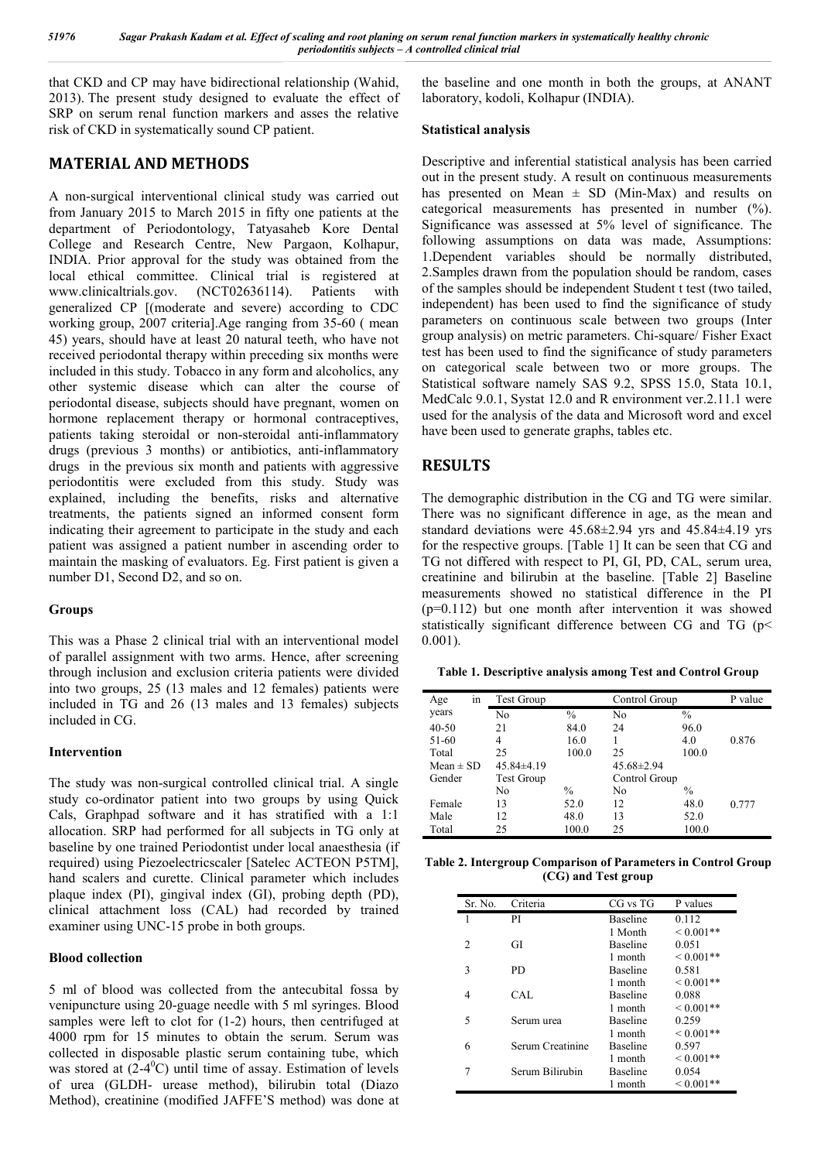that CKD and CP may have bidirectional relationship (Wahid, 2013). The present study designed to evaluate the effect of SRP on serum renal function markers and asses the relative risk of CKD in systematically sound CP patient.

### **MATERIAL AND METHODS**

A non-surgical interventional clinical study was carried out from January 2015 to March 2015 in fifty one patients at the department of Periodontology, Tatyasaheb Kore Dental College and Research Centre, New Pargaon, Kolhapur, INDIA. Prior approval for the study was obtained from the local ethical committee. Clinical trial is registered at www.clinicaltrials.gov. (NCT02636114). Patients with generalized CP [(moderate and severe) according to CDC working group, 2007 criteria].Age ranging from 35-60 ( mean 45) years, should have at least 20 natural teeth, who have not received periodontal therapy within preceding six months were included in this study. Tobacco in any form and alcoholics, any other systemic disease which can alter the course of periodontal disease, subjects should have pregnant, women on hormone replacement therapy or hormonal contraceptives, patients taking steroidal or non-steroidal anti-inflammatory drugs (previous 3 months) or antibiotics, anti-inflammatory drugs in the previous six month and patients with aggressive periodontitis were excluded from this study. Study was explained, including the benefits, risks and alternative treatments, the patients signed an informed consent form indicating their agreement to participate in the study and each patient was assigned a patient number in ascending order to maintain the masking of evaluators. Eg. First patient is given a number D1, Second D2, and so on.

#### **Groups**

This was a Phase 2 clinical trial with an interventional model of parallel assignment with two arms. Hence, after screening through inclusion and exclusion criteria patients were divided into two groups, 25 (13 males and 12 females) patients were included in TG and 26 (13 males and 13 females) subjects included in CG.

#### **Intervention**

The study was non-surgical controlled clinical trial. A single study co-ordinator patient into two groups by using Quick Cals, Graphpad software and it has stratified with a 1:1 allocation. SRP had performed for all subjects in TG only at baseline by one trained Periodontist under local anaesthesia (if required) using Piezoelectricscaler [Satelec ACTEON P5TM], hand scalers and curette. Clinical parameter which includes plaque index (PI), gingival index (GI), probing depth (PD), clinical attachment loss (CAL) had recorded by trained examiner using UNC-15 probe in both groups.

#### **Blood collection**

5 ml of blood was collected from the antecubital fossa by venipuncture using 20-guage needle with 5 ml syringes. Blood samples were left to clot for  $(1-2)$  hours, then centrifuged at 4000 rpm for 15 minutes to obtain the serum. Serum was collected in disposable plastic serum containing tube, which was stored at  $(2-4<sup>0</sup>C)$  until time of assay. Estimation of levels of urea (GLDH- urease method), bilirubin total (Diazo Method), creatinine (modified JAFFE'S method) was done at the baseline and one month in both the groups, at ANANT laboratory, kodoli, Kolhapur (INDIA).

#### **Statistical analysis**

Descriptive and inferential statistical analysis has been carried out in the present study. A result on continuous measurements has presented on Mean  $\pm$  SD (Min-Max) and results on categorical measurements has presented in number (%). Significance was assessed at 5% level of significance. The following assumptions on data was made, Assumptions: 1.Dependent variables should be normally distributed, 2.Samples drawn from the population should be random, cases of the samples should be independent Student t test (two tailed, independent) has been used to find the significance of study parameters on continuous scale between two groups (Inter group analysis) on metric parameters. Chi-square/ Fisher Exact test has been used to find the significance of study parameters on categorical scale between two or more groups. The Statistical software namely SAS 9.2, SPSS 15.0, Stata 10.1, MedCalc 9.0.1, Systat 12.0 and R environment ver.2.11.1 were used for the analysis of the data and Microsoft word and excel have been used to generate graphs, tables etc.

## **RESULTS**

The demographic distribution in the CG and TG were similar. There was no significant difference in age, as the mean and standard deviations were 45.68±2.94 yrs and 45.84±4.19 yrs for the respective groups. [Table 1] It can be seen that CG and TG not differed with respect to PI, GI, PD, CAL, serum urea, creatinine and bilirubin at the baseline. [Table 2] Baseline measurements showed no statistical difference in the PI (p=0.112) but one month after intervention it was showed statistically significant difference between CG and TG (p< 0.001).

| Table 1. Descriptive analysis among Test and Control Group |  |  |  |
|------------------------------------------------------------|--|--|--|
|                                                            |  |  |  |

| in<br>Age     | <b>Test Group</b> |               | Control Group    |               | P value |
|---------------|-------------------|---------------|------------------|---------------|---------|
| years         | No                | $\frac{0}{0}$ | No               | $\frac{0}{0}$ |         |
| $40 - 50$     | 21                | 84.0          | 24               | 96.0          |         |
| 51-60         | 4                 | 16.0          |                  | 4.0           | 0.876   |
| Total         | 25                | 100.0         | 25               | 100.0         |         |
| Mean $\pm$ SD | $45.84\pm4.19$    |               | $45.68 \pm 2.94$ |               |         |
| Gender        | <b>Test Group</b> |               | Control Group    |               |         |
|               | No                | $\frac{0}{0}$ | No               | $\frac{0}{0}$ |         |
| Female        | 13                | 52.0          | 12               | 48.0          | 0.777   |
| Male          | 12                | 48.0          | 13               | 52.0          |         |
| Total         | 25                | 100.0         | 25               | 100.0         |         |

**Table 2. Intergroup Comparison of Parameters in Control Group (CG) and Test group**

| Sr. No.        | Criteria         | CG vs TG        | P values     |
|----------------|------------------|-----------------|--------------|
| 1              | РI               | <b>Baseline</b> | 0.112        |
|                |                  | 1 Month         | $0.001**$    |
| $\overline{c}$ | GI               | <b>Baseline</b> | 0.051        |
|                |                  | 1 month         | $0.001**$    |
| 3              | PD.              | <b>Baseline</b> | 0.581        |
|                |                  | 1 month         | $0.001**$    |
| 4              | CAL.             | <b>Baseline</b> | 0.088        |
|                |                  | 1 month         | $0.001**$    |
| 5              | Serum urea       | Baseline        | 0.259        |
|                |                  | 1 month         | $0.001**$    |
| 6              | Serum Creatinine | <b>Baseline</b> | 0.597        |
|                |                  | 1 month         | $0.001**$    |
| 7              | Serum Bilirubin  | <b>Baseline</b> | 0.054        |
|                |                  | 1 month         | ${}_{0.001}$ |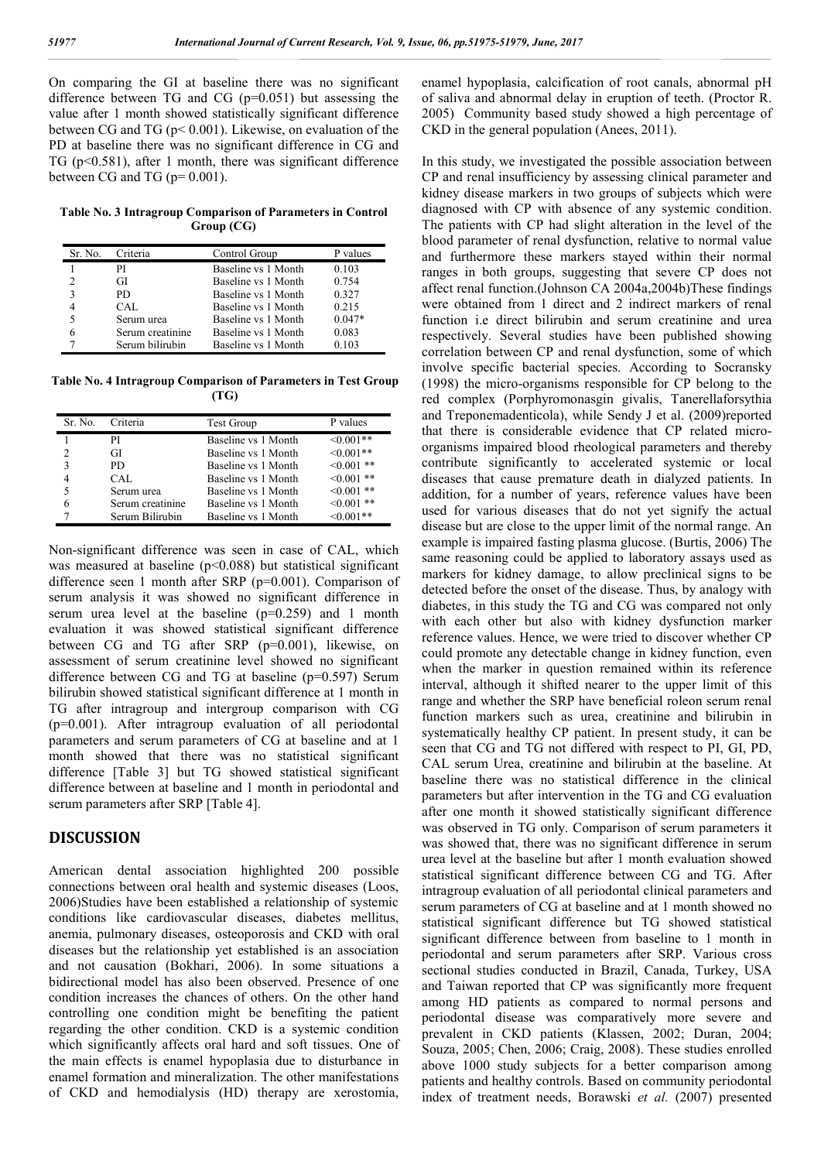On comparing the GI at baseline there was no significant difference between TG and CG (p=0.051) but assessing the value after 1 month showed statistically significant difference between CG and TG (p< 0.001). Likewise, on evaluation of the PD at baseline there was no significant difference in CG and TG (p<0.581), after 1 month, there was significant difference between CG and TG ( $p=0.001$ ).

**Table No. 3 Intragroup Comparison of Parameters in Control Group (CG)**

| Sr. No. | Criteria         | Control Group       | values   |
|---------|------------------|---------------------|----------|
|         | PI               | Baseline vs 1 Month | 0.103    |
|         | GI               | Baseline vs 1 Month | 0.754    |
|         | PD.              | Baseline vs 1 Month | 0.327    |
|         | CAL.             | Baseline vs 1 Month | 0.215    |
|         | Serum urea       | Baseline vs 1 Month | $0.047*$ |
|         | Serum creatinine | Baseline vs 1 Month | 0.083    |
|         | Serum bilirubin  | Baseline vs 1 Month | 0.103    |

**Table No. 4 Intragroup Comparison of Parameters in Test Group (TG)**

| Sr. No. | Criteria         | <b>Test Group</b>   | P values        |
|---------|------------------|---------------------|-----------------|
|         | РI               | Baseline vs 1 Month | $<0.001**$      |
| C       | GH               | Baseline vs 1 Month | $<0.001**$      |
| 3       | PD.              | Baseline vs 1 Month | $\leq 0.001$ ** |
|         | CAL              | Baseline vs 1 Month | $0.001$ **      |
|         | Serum urea       | Baseline vs 1 Month | $\leq 0.001$ ** |
| 6       | Serum creatinine | Baseline vs 1 Month | $0.001$ **      |
|         | Serum Bilirubin  | Baseline vs 1 Month | $\leq 0.001**$  |

Non-significant difference was seen in case of CAL, which was measured at baseline  $(p<0.088)$  but statistical significant difference seen 1 month after SRP (p=0.001). Comparison of serum analysis it was showed no significant difference in serum urea level at the baseline  $(p=0.259)$  and 1 month evaluation it was showed statistical significant difference between CG and TG after SRP (p=0.001), likewise, on assessment of serum creatinine level showed no significant difference between CG and TG at baseline (p=0.597) Serum bilirubin showed statistical significant difference at 1 month in TG after intragroup and intergroup comparison with CG (p=0.001). After intragroup evaluation of all periodontal parameters and serum parameters of CG at baseline and at 1 month showed that there was no statistical significant difference [Table 3] but TG showed statistical significant difference between at baseline and 1 month in periodontal and serum parameters after SRP [Table 4].

### **DISCUSSION**

American dental association highlighted 200 possible connections between oral health and systemic diseases (Loos, 2006)Studies have been established a relationship of systemic conditions like cardiovascular diseases, diabetes mellitus, anemia, pulmonary diseases, osteoporosis and CKD with oral diseases but the relationship yet established is an association and not causation (Bokhari, 2006). In some situations a bidirectional model has also been observed. Presence of one condition increases the chances of others. On the other hand controlling one condition might be benefiting the patient regarding the other condition. CKD is a systemic condition which significantly affects oral hard and soft tissues. One of the main effects is enamel hypoplasia due to disturbance in enamel formation and mineralization. The other manifestations of CKD and hemodialysis (HD) therapy are xerostomia,

enamel hypoplasia, calcification of root canals, abnormal pH of saliva and abnormal delay in eruption of teeth. (Proctor R. 2005) Community based study showed a high percentage of CKD in the general population (Anees, 2011).

In this study, we investigated the possible association between CP and renal insufficiency by assessing clinical parameter and kidney disease markers in two groups of subjects which were diagnosed with CP with absence of any systemic condition. The patients with CP had slight alteration in the level of the blood parameter of renal dysfunction, relative to normal value and furthermore these markers stayed within their normal ranges in both groups, suggesting that severe CP does not affect renal function.(Johnson CA 2004a,2004b)These findings were obtained from 1 direct and 2 indirect markers of renal function i.e direct bilirubin and serum creatinine and urea respectively. Several studies have been published showing correlation between CP and renal dysfunction, some of which involve specific bacterial species. According to Socransky (1998) the micro-organisms responsible for CP belong to the red complex (Porphyromonasgin givalis, Tanerellaforsythia and Treponemadenticola), while Sendy J et al. (2009)reported that there is considerable evidence that CP related microorganisms impaired blood rheological parameters and thereby contribute significantly to accelerated systemic or local diseases that cause premature death in dialyzed patients. In addition, for a number of years, reference values have been used for various diseases that do not yet signify the actual disease but are close to the upper limit of the normal range. An example is impaired fasting plasma glucose. (Burtis, 2006) The same reasoning could be applied to laboratory assays used as markers for kidney damage, to allow preclinical signs to be detected before the onset of the disease. Thus, by analogy with diabetes, in this study the TG and CG was compared not only with each other but also with kidney dysfunction marker reference values. Hence, we were tried to discover whether CP could promote any detectable change in kidney function, even when the marker in question remained within its reference interval, although it shifted nearer to the upper limit of this range and whether the SRP have beneficial roleon serum renal function markers such as urea, creatinine and bilirubin in systematically healthy CP patient. In present study, it can be seen that CG and TG not differed with respect to PI, GI, PD, CAL serum Urea, creatinine and bilirubin at the baseline. At baseline there was no statistical difference in the clinical parameters but after intervention in the TG and CG evaluation after one month it showed statistically significant difference was observed in TG only. Comparison of serum parameters it was showed that, there was no significant difference in serum urea level at the baseline but after 1 month evaluation showed statistical significant difference between CG and TG. After intragroup evaluation of all periodontal clinical parameters and serum parameters of CG at baseline and at 1 month showed no statistical significant difference but TG showed statistical significant difference between from baseline to 1 month in periodontal and serum parameters after SRP. Various cross sectional studies conducted in Brazil, Canada, Turkey, USA and Taiwan reported that CP was significantly more frequent among HD patients as compared to normal persons and periodontal disease was comparatively more severe and prevalent in CKD patients (Klassen, 2002; Duran, 2004; Souza, 2005; Chen, 2006; Craig, 2008). These studies enrolled above 1000 study subjects for a better comparison among patients and healthy controls. Based on community periodontal index of treatment needs, Borawski *et al.* (2007) presented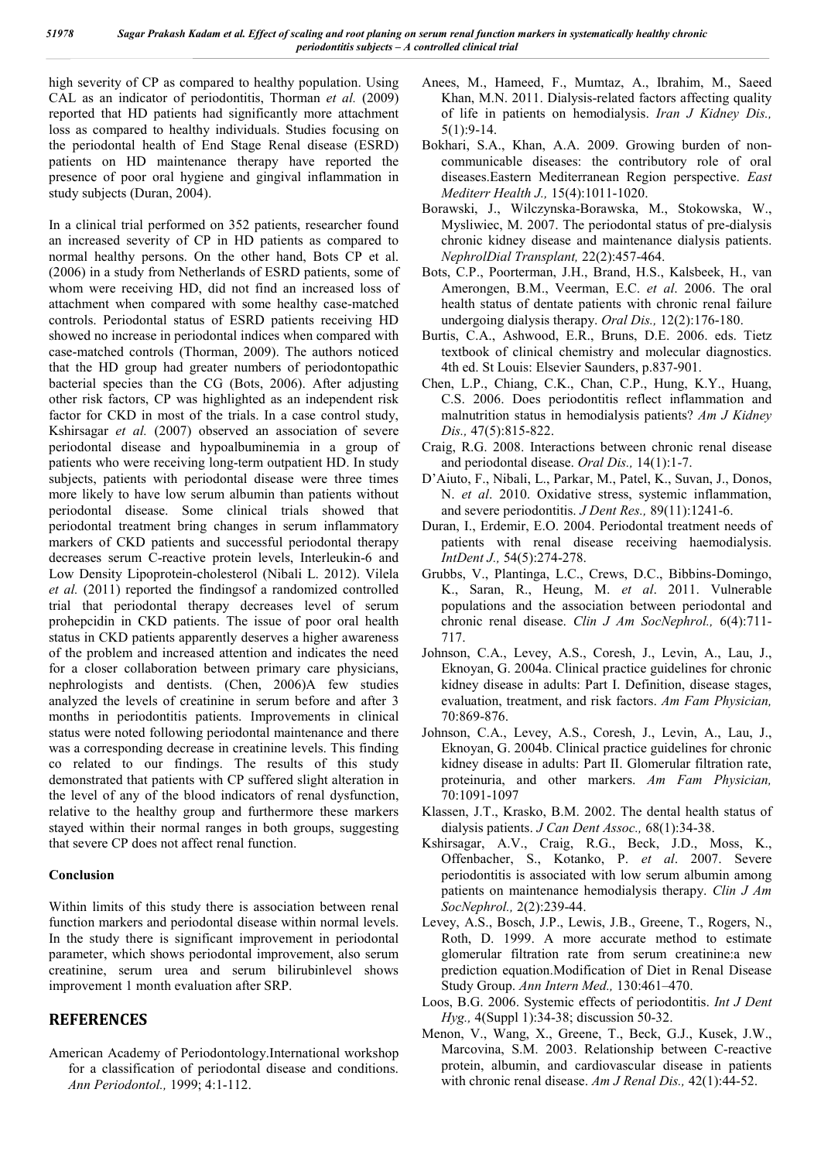high severity of CP as compared to healthy population. Using CAL as an indicator of periodontitis, Thorman *et al.* (2009) reported that HD patients had significantly more attachment loss as compared to healthy individuals. Studies focusing on the periodontal health of End Stage Renal disease (ESRD) patients on HD maintenance therapy have reported the presence of poor oral hygiene and gingival inflammation in study subjects (Duran, 2004).

In a clinical trial performed on 352 patients, researcher found an increased severity of CP in HD patients as compared to normal healthy persons. On the other hand, Bots CP et al. (2006) in a study from Netherlands of ESRD patients, some of whom were receiving HD, did not find an increased loss of attachment when compared with some healthy case-matched controls. Periodontal status of ESRD patients receiving HD showed no increase in periodontal indices when compared with case-matched controls (Thorman, 2009). The authors noticed that the HD group had greater numbers of periodontopathic bacterial species than the CG (Bots, 2006). After adjusting other risk factors, CP was highlighted as an independent risk factor for CKD in most of the trials. In a case control study, Kshirsagar *et al.* (2007) observed an association of severe periodontal disease and hypoalbuminemia in a group of patients who were receiving long-term outpatient HD. In study subjects, patients with periodontal disease were three times more likely to have low serum albumin than patients without periodontal disease. Some clinical trials showed that periodontal treatment bring changes in serum inflammatory markers of CKD patients and successful periodontal therapy decreases serum C-reactive protein levels, Interleukin-6 and Low Density Lipoprotein-cholesterol (Nibali L. 2012). Vilela *et al.* (2011) reported the findingsof a randomized controlled trial that periodontal therapy decreases level of serum prohepcidin in CKD patients. The issue of poor oral health status in CKD patients apparently deserves a higher awareness of the problem and increased attention and indicates the need for a closer collaboration between primary care physicians, nephrologists and dentists. (Chen, 2006)A few studies analyzed the levels of creatinine in serum before and after 3 months in periodontitis patients. Improvements in clinical status were noted following periodontal maintenance and there was a corresponding decrease in creatinine levels. This finding co related to our findings. The results of this study demonstrated that patients with CP suffered slight alteration in the level of any of the blood indicators of renal dysfunction, relative to the healthy group and furthermore these markers stayed within their normal ranges in both groups, suggesting that severe CP does not affect renal function.

### **Conclusion**

Within limits of this study there is association between renal function markers and periodontal disease within normal levels. In the study there is significant improvement in periodontal parameter, which shows periodontal improvement, also serum creatinine, serum urea and serum bilirubinlevel shows improvement 1 month evaluation after SRP.

## **REFERENCES**

American Academy of Periodontology.International workshop for a classification of periodontal disease and conditions. *Ann Periodontol.,* 1999; 4:1-112.

- Anees, M., Hameed, F., Mumtaz, A., Ibrahim, M., Saeed Khan, M.N. 2011. Dialysis-related factors affecting quality of life in patients on hemodialysis. *Iran J Kidney Dis.,* 5(1):9-14.
- Bokhari, S.A., Khan, A.A. 2009. Growing burden of noncommunicable diseases: the contributory role of oral diseases.Eastern Mediterranean Region perspective. *East Mediterr Health J.,* 15(4):1011-1020.
- Borawski, J., Wilczynska-Borawska, M., Stokowska, W., Mysliwiec, M. 2007. The periodontal status of pre-dialysis chronic kidney disease and maintenance dialysis patients. *NephrolDial Transplant,* 22(2):457-464.
- Bots, C.P., Poorterman, J.H., Brand, H.S., Kalsbeek, H., van Amerongen, B.M., Veerman, E.C. *et al*. 2006. The oral health status of dentate patients with chronic renal failure undergoing dialysis therapy. *Oral Dis.,* 12(2):176-180.
- Burtis, C.A., Ashwood, E.R., Bruns, D.E. 2006. eds. Tietz textbook of clinical chemistry and molecular diagnostics. 4th ed. St Louis: Elsevier Saunders, p.837-901.
- Chen, L.P., Chiang, C.K., Chan, C.P., Hung, K.Y., Huang, C.S. 2006. Does periodontitis reflect inflammation and malnutrition status in hemodialysis patients? *Am J Kidney Dis.,* 47(5):815-822.
- Craig, R.G. 2008. Interactions between chronic renal disease and periodontal disease. *Oral Dis.,* 14(1):1-7.
- D'Aiuto, F., Nibali, L., Parkar, M., Patel, K., Suvan, J., Donos, N. *et al*. 2010. Oxidative stress, systemic inflammation, and severe periodontitis. *J Dent Res.,* 89(11):1241-6.
- Duran, I., Erdemir, E.O. 2004. Periodontal treatment needs of patients with renal disease receiving haemodialysis. *IntDent J.,* 54(5):274-278.
- Grubbs, V., Plantinga, L.C., Crews, D.C., Bibbins-Domingo, K., Saran, R., Heung, M. *et al*. 2011. Vulnerable populations and the association between periodontal and chronic renal disease. *Clin J Am SocNephrol.,* 6(4):711- 717.
- Johnson, C.A., Levey, A.S., Coresh, J., Levin, A., Lau, J., Eknoyan, G. 2004a. Clinical practice guidelines for chronic kidney disease in adults: Part I. Definition, disease stages, evaluation, treatment, and risk factors. *Am Fam Physician,* 70:869-876.
- Johnson, C.A., Levey, A.S., Coresh, J., Levin, A., Lau, J., Eknoyan, G. 2004b. Clinical practice guidelines for chronic kidney disease in adults: Part II. Glomerular filtration rate, proteinuria, and other markers. *Am Fam Physician,* 70:1091-1097
- Klassen, J.T., Krasko, B.M. 2002. The dental health status of dialysis patients. *J Can Dent Assoc.,* 68(1):34-38.
- Kshirsagar, A.V., Craig, R.G., Beck, J.D., Moss, K., Offenbacher, S., Kotanko, P. *et al*. 2007. Severe periodontitis is associated with low serum albumin among patients on maintenance hemodialysis therapy. *Clin J Am SocNephrol.,* 2(2):239-44.
- Levey, A.S., Bosch, J.P., Lewis, J.B., Greene, T., Rogers, N., Roth, D. 1999. A more accurate method to estimate glomerular filtration rate from serum creatinine:a new prediction equation.Modification of Diet in Renal Disease Study Group. *Ann Intern Med.,* 130:461–470.
- Loos, B.G. 2006. Systemic effects of periodontitis. *Int J Dent Hyg.,* 4(Suppl 1):34-38; discussion 50-32.
- Menon, V., Wang, X., Greene, T., Beck, G.J., Kusek, J.W., Marcovina, S.M. 2003. Relationship between C-reactive protein, albumin, and cardiovascular disease in patients with chronic renal disease. *Am J Renal Dis.,* 42(1):44-52.